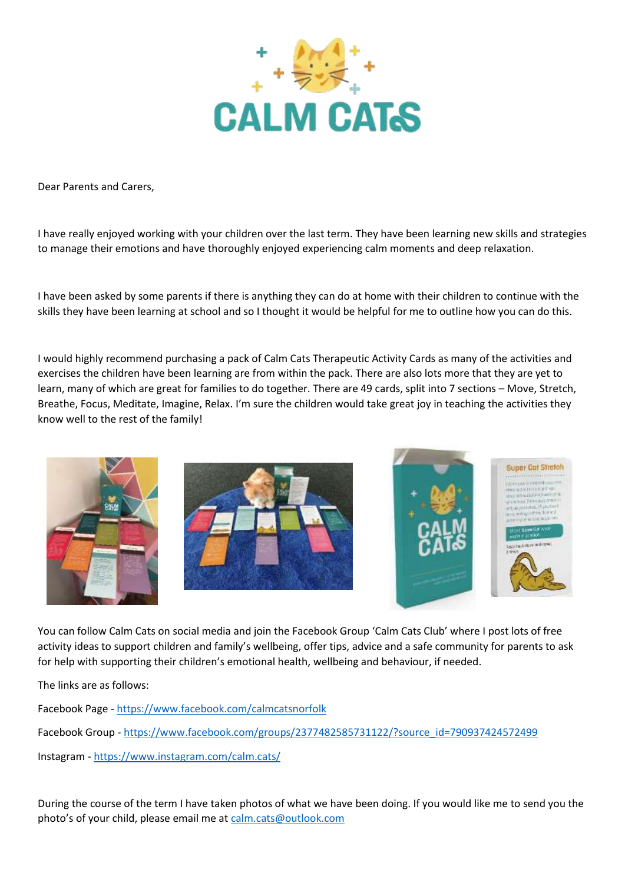

Dear Parents and Carers,

I have really enjoyed working with your children over the last term. They have been learning new skills and strategies to manage their emotions and have thoroughly enjoyed experiencing calm moments and deep relaxation.

I have been asked by some parents if there is anything they can do at home with their children to continue with the skills they have been learning at school and so I thought it would be helpful for me to outline how you can do this.

I would highly recommend purchasing a pack of Calm Cats Therapeutic Activity Cards as many of the activities and exercises the children have been learning are from within the pack. There are also lots more that they are yet to learn, many of which are great for families to do together. There are 49 cards, split into 7 sections – Move, Stretch, Breathe, Focus, Meditate, Imagine, Relax. I'm sure the children would take great joy in teaching the activities they know well to the rest of the family!







You can follow Calm Cats on social media and join the Facebook Group 'Calm Cats Club' where I post lots of free activity ideas to support children and family's wellbeing, offer tips, advice and a safe community for parents to ask for help with supporting their children's emotional health, wellbeing and behaviour, if needed.

The links are as follows:

Facebook Page - <https://www.facebook.com/calmcatsnorfolk>

Facebook Group - [https://www.facebook.com/groups/2377482585731122/?source\\_id=790937424572499](https://www.facebook.com/groups/2377482585731122/?source_id=790937424572499)

Instagram - <https://www.instagram.com/calm.cats/>

During the course of the term I have taken photos of what we have been doing. If you would like me to send you the photo's of your child, please email me at [calm.cats@outlook.com](mailto:calm.cats@outlook.com)